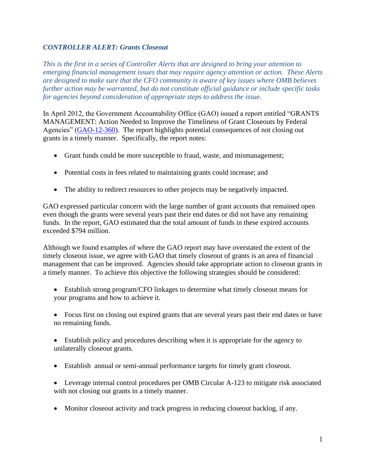## *CONTROLLER ALERT: Grants Closeout*

*This is the first in a series of Controller Alerts that are designed to bring your attention to emerging financial management issues that may require agency attention or action. These Alerts are designed to make sure that the CFO community is aware of key issues where OMB believes further action may be warranted, but do not constitute official guidance or include specific tasks for agencies beyond consideration of appropriate steps to address the issue.*

In April 2012, the Government Accountability Office (GAO) issued a report entitled "GRANTS MANAGEMENT: Action Needed to Improve the Timeliness of Grant Closeouts by Federal Agencies" [\(GAO-12-360\)](http://gao.gov/products/GAO-12-360). The report highlights potential consequences of not closing out grants in a timely manner. Specifically, the report notes:

- Grant funds could be more susceptible to fraud, waste, and mismanagement;
- Potential costs in fees related to maintaining grants could increase; and
- The ability to redirect resources to other projects may be negatively impacted.

GAO expressed particular concern with the large number of grant accounts that remained open even though the grants were several years past their end dates or did not have any remaining funds. In the report, GAO estimated that the total amount of funds in these expired accounts exceeded \$794 million.

Although we found examples of where the GAO report may have overstated the extent of the timely closeout issue, we agree with GAO that timely closeout of grants is an area of financial management that can be improved. Agencies should take appropriate action to closeout grants in a timely manner. To achieve this objective the following strategies should be considered:

- Establish strong program/CFO linkages to determine what timely closeout means for your programs and how to achieve it.
- Focus first on closing out expired grants that are several years past their end dates or have no remaining funds.
- Establish policy and procedures describing when it is appropriate for the agency to unilaterally closeout grants.
- Establish annual or semi-annual performance targets for timely grant closeout.

• Leverage internal control procedures per OMB Circular A-123 to mitigate risk associated with not closing out grants in a timely manner.

• Monitor closeout activity and track progress in reducing closeout backlog, if any.